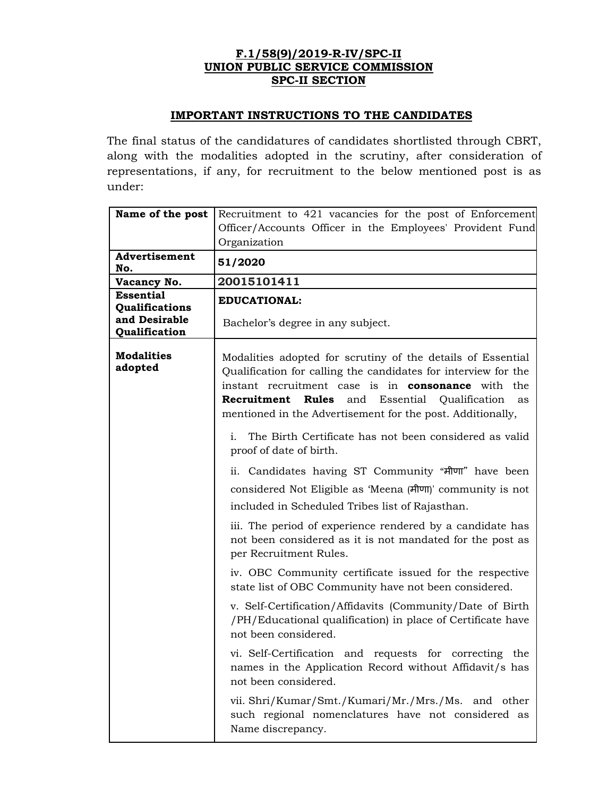## **F.1/58(9)/2019-R-IV/SPC-II UNION PUBLIC SERVICE COMMISSION SPC-II SECTION**

## **IMPORTANT INSTRUCTIONS TO THE CANDIDATES**

The final status of the candidatures of candidates shortlisted through CBRT, along with the modalities adopted in the scrutiny, after consideration of representations, if any, for recruitment to the below mentioned post is as under:

| Name of the post                                    | Recruitment to 421 vacancies for the post of Enforcement<br>Officer/Accounts Officer in the Employees' Provident Fund<br>Organization                                                                                                                                                                                              |  |  |  |  |  |  |  |
|-----------------------------------------------------|------------------------------------------------------------------------------------------------------------------------------------------------------------------------------------------------------------------------------------------------------------------------------------------------------------------------------------|--|--|--|--|--|--|--|
| Advertisement<br>No.                                | 51/2020                                                                                                                                                                                                                                                                                                                            |  |  |  |  |  |  |  |
| Vacancy No.                                         | 20015101411                                                                                                                                                                                                                                                                                                                        |  |  |  |  |  |  |  |
| <b>Essential</b><br>Qualifications<br>and Desirable | <b>EDUCATIONAL:</b>                                                                                                                                                                                                                                                                                                                |  |  |  |  |  |  |  |
| Qualification                                       | Bachelor's degree in any subject.                                                                                                                                                                                                                                                                                                  |  |  |  |  |  |  |  |
| <b>Modalities</b><br>adopted                        | Modalities adopted for scrutiny of the details of Essential<br>Qualification for calling the candidates for interview for the<br>instant recruitment case is in <b>consonance</b> with the<br>Recruitment<br><b>Rules</b><br>Essential<br>Qualification<br>and<br>as<br>mentioned in the Advertisement for the post. Additionally, |  |  |  |  |  |  |  |
|                                                     | The Birth Certificate has not been considered as valid<br>i.<br>proof of date of birth.                                                                                                                                                                                                                                            |  |  |  |  |  |  |  |
|                                                     | ii. Candidates having ST Community "मीणा" have been                                                                                                                                                                                                                                                                                |  |  |  |  |  |  |  |
|                                                     | considered Not Eligible as 'Meena (मीणा)' community is not                                                                                                                                                                                                                                                                         |  |  |  |  |  |  |  |
|                                                     | included in Scheduled Tribes list of Rajasthan.                                                                                                                                                                                                                                                                                    |  |  |  |  |  |  |  |
|                                                     | iii. The period of experience rendered by a candidate has<br>not been considered as it is not mandated for the post as<br>per Recruitment Rules.                                                                                                                                                                                   |  |  |  |  |  |  |  |
|                                                     | iv. OBC Community certificate issued for the respective<br>state list of OBC Community have not been considered.                                                                                                                                                                                                                   |  |  |  |  |  |  |  |
|                                                     | v. Self-Certification/Affidavits (Community/Date of Birth<br>/PH/Educational qualification) in place of Certificate have<br>not been considered.                                                                                                                                                                                   |  |  |  |  |  |  |  |
|                                                     | vi. Self-Certification and requests for correcting the<br>names in the Application Record without Affidavit/s has<br>not been considered.                                                                                                                                                                                          |  |  |  |  |  |  |  |
|                                                     | vii. Shri/Kumar/Smt./Kumari/Mr./Mrs./Ms. and other<br>such regional nomenclatures have not considered as<br>Name discrepancy.                                                                                                                                                                                                      |  |  |  |  |  |  |  |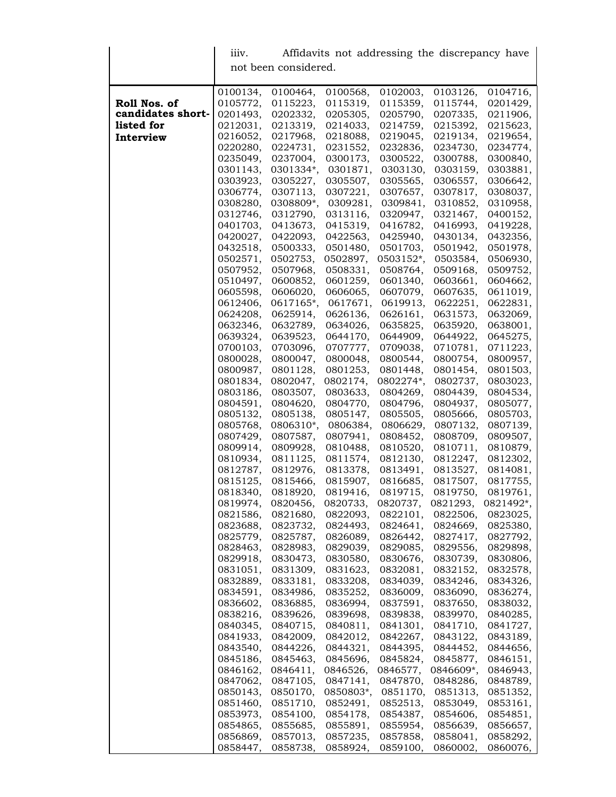|                   | Affidavits not addressing the discrepancy have<br>111V. |                      |                      |                       |                       |                      |  |
|-------------------|---------------------------------------------------------|----------------------|----------------------|-----------------------|-----------------------|----------------------|--|
|                   | not been considered.                                    |                      |                      |                       |                       |                      |  |
|                   | 0100134,                                                | 0100464,             | 0100568,             | 0102003,              | 0103126,              | 0104716,             |  |
| Roll Nos. of      | 0105772,                                                | 0115223,             | 0115319,             | 0115359,              | 0115744,              | 0201429,             |  |
| candidates short- | 0201493,                                                | 0202332,             | 0205305,             | 0205790,              | 0207335,              | 0211906,             |  |
| listed for        | 0212031,                                                | 0213319,             | 0214033,             | 0214759,              | 0215392,              | 0215623,             |  |
| Interview         | 0216052,                                                | 0217968,             | 0218088,             | 0219045,              | 0219134,              | 0219654,             |  |
|                   | 0220280,                                                | 0224731,             | 0231552,             | 0232836,              | 0234730,              | 0234774,             |  |
|                   | 0235049,                                                | 0237004,             | 0300173,             | 0300522,              | 0300788,              | 0300840,             |  |
|                   | 0301143,                                                | 0301334*,            | 0301871,             | 0303130,              | 0303159,              | 0303881,             |  |
|                   | 0303923,<br>0306774,                                    | 0305227,<br>0307113, | 0305507,<br>0307221, | 0305565,<br>0307657,  | 0306557,<br>0307817,  | 0306642,<br>0308037, |  |
|                   | 0308280,                                                | 0308809*,            | 0309281,             | 0309841,              | 0310852,              | 0310958,             |  |
|                   | 0312746,                                                | 0312790,             | 0313116,             | 0320947,              | 0321467,              | 0400152,             |  |
|                   | 0401703,                                                | 0413673,             | 0415319,             | 0416782,              | 0416993,              | 0419228,             |  |
|                   | 0420027,                                                | 0422093,             | 0422563,             | 0425940,              | 0430134,              | 0432356,             |  |
|                   | 0432518,                                                | 0500333,             | 0501480,             | 0501703,              | 0501942,              | 0501978,             |  |
|                   | 0502571,                                                | 0502753,             | 0502897,             | 0503152*,             | 0503584,              | 0506930,             |  |
|                   | 0507952,                                                | 0507968,             | 0508331,             | 0508764,<br>0601340,  | 0509168,              | 0509752,             |  |
|                   | 0510497,<br>0605598,                                    | 0600852,<br>0606020, | 0601259,<br>0606065, | 0607079,              | 0603661,<br>0607635,  | 0604662,<br>0611019, |  |
|                   | 0612406,                                                | 0617165*,            | 0617671,             | 0619913,              | 0622251,              | 0622831,             |  |
|                   | 0624208,                                                | 0625914,             | 0626136,             | 0626161,              | 0631573,              | 0632069,             |  |
|                   | 0632346,                                                | 0632789,             | 0634026,             | 0635825,              | 0635920,              | 0638001,             |  |
|                   | 0639324,                                                | 0639523,             | 0644170,             | 0644909,              | 0644922,              | 0645275,             |  |
|                   | 0700103,                                                | 0703096,             | 0707777,             | 0709038,              | 0710781,              | 0711223,             |  |
|                   | 0800028,                                                | 0800047,             | 0800048,             | 0800544,              | 0800754,              | 0800957,             |  |
|                   | 0800987,<br>0801834,                                    | 0801128,<br>0802047, | 0801253,<br>0802174, | 0801448,<br>0802274*, | 0801454,<br>0802737,  | 0801503,<br>0803023, |  |
|                   | 0803186,                                                | 0803507,             | 0803633,             | 0804269,              | 0804439,              | 0804534,             |  |
|                   | 0804591,                                                | 0804620,             | 0804770,             | 0804796,              | 0804937,              | 0805077,             |  |
|                   | 0805132,                                                | 0805138,             | 0805147,             | 0805505,              | 0805666,              | 0805703,             |  |
|                   | 0805768,                                                | 0806310*,            | 0806384,             | 0806629,              | 0807132,              | 0807139,             |  |
|                   | 0807429,                                                | 0807587,             | 0807941,             | 0808452,              | 0808709,              | 0809507,             |  |
|                   | 0809914,                                                | 0809928,             | 0810488,             | 0810520,              | 0810711,              | 0810879,             |  |
|                   | 0810934,                                                | 0811125,             | 0811574,             | 0812130,              | 0812247,              | 0812302,             |  |
|                   | 0812787,<br>0815125,                                    | 0812976,<br>0815466, | 0813378,<br>0815907, | 0813491,<br>0816685,  | 0813527,<br>0817507,  | 0814081,<br>0817755, |  |
|                   | 0818340,                                                | 0818920,             | 0819416.             | 0819715,              | 0819750,              | 0819761,             |  |
|                   | 0819974,                                                | 0820456,             | 0820733,             | 0820737,              | 0821293,              | 0821492*,            |  |
|                   | 0821586,                                                | 0821680,             | 0822093,             | 0822101,              | 0822506,              | 0823025,             |  |
|                   | 0823688,                                                | 0823732,             | 0824493,             | 0824641,              | 0824669,              | 0825380,             |  |
|                   | 0825779,                                                | 0825787,             | 0826089,             | 0826442,              | 0827417,              | 0827792,             |  |
|                   | 0828463,                                                | 0828983,             | 0829039,             | 0829085,              | 0829556,              | 0829898,             |  |
|                   | 0829918,                                                | 0830473,             | 0830580,             | 0830676,              | 0830739,              | 0830806,             |  |
|                   | 0831051,<br>0832889,                                    | 0831309,<br>0833181, | 0831623,<br>0833208, | 0832081,<br>0834039,  | 0832152,<br>0834246,  | 0832578,<br>0834326, |  |
|                   | 0834591,                                                | 0834986,             | 0835252,             | 0836009,              | 0836090,              | 0836274,             |  |
|                   | 0836602,                                                | 0836885,             | 0836994,             | 0837591,              | 0837650,              | 0838032,             |  |
|                   | 0838216,                                                | 0839626,             | 0839698,             | 0839838,              | 0839970,              | 0840285,             |  |
|                   | 0840345,                                                | 0840715,             | 0840811,             | 0841301,              | 0841710,              | 0841727,             |  |
|                   | 0841933,                                                | 0842009,             | 0842012,             | 0842267,              | 0843122,              | 0843189,             |  |
|                   | 0843540,                                                | 0844226,             | 0844321,             | 0844395,              | 0844452,              | 0844656,             |  |
|                   | 0845186,                                                | 0845463,             | 0845696,             | 0845824,              | 0845877,              | 0846151,             |  |
|                   | 0846162,<br>0847062,                                    | 0846411,<br>0847105, | 0846526,<br>0847141, | 0846577,<br>0847870,  | 0846609*,<br>0848286, | 0846943,<br>0848789, |  |
|                   | 0850143,                                                | 0850170,             | 0850803*,            | 0851170,              | 0851313,              | 0851352,             |  |
|                   | 0851460,                                                | 0851710,             | 0852491,             | 0852513,              | 0853049,              | 0853161,             |  |
|                   | 0853973,                                                | 0854100,             | 0854178,             | 0854387,              | 0854606,              | 0854851,             |  |
|                   | 0854865,                                                | 0855685,             | 0855891,             | 0855954,              | 0856639,              | 0856657,             |  |
|                   | 0856869,                                                | 0857013,             | 0857235,             | 0857858,              | 0858041,              | 0858292,             |  |
|                   | 0858447,                                                | 0858738,             | 0858924,             | 0859100,              | 0860002,              | 0860076,             |  |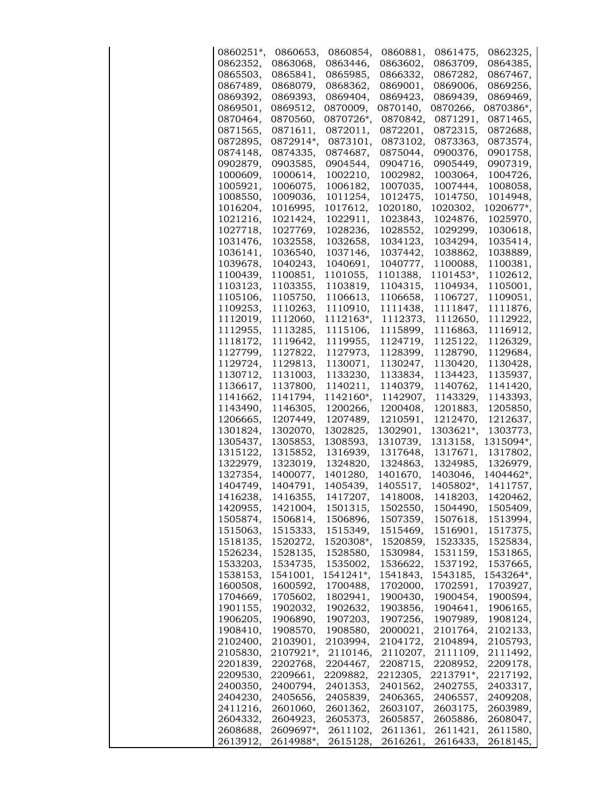| 0860251*, | 0860653,  | 0860854,  | 0860881, | 0861475,  | 0862325,    |
|-----------|-----------|-----------|----------|-----------|-------------|
| 0862352,  | 0863068,  | 0863446,  | 0863602, | 0863709.  | 0864385.    |
| 0865503,  | 0865841,  | 0865985,  | 0866332, | 0867282,  | 0867467,    |
| 0867489,  | 0868079,  | 0868362,  | 0869001, | 0869006,  | 0869256,    |
| 0869392,  | 0869393,  | 0869404,  | 0869423, | 0869439,  | 0869469,    |
| 0869501,  | 0869512,  | 0870009,  | 0870140, | 0870266,  | 0870386*,   |
| 0870464,  | 0870560,  | 0870726*, | 0870842, | 0871291,  | 0871465,    |
| 0871565,  | 0871611,  | 0872011,  | 0872201, | 0872315,  | 0872688,    |
| 0872895,  | 0872914*, | 0873101,  | 0873102, | 0873363,  | 0873574,    |
| 0874148,  | 0874335,  | 0874687,  | 0875044, | 0900376,  | 0901758,    |
| 0902879,  | 0903585,  | 0904544,  | 0904716. | 0905449,  | 0907319,    |
| 1000609,  | 1000614,  | 1002210,  | 1002982, | 1003064,  | 1004726,    |
| 1005921,  | 1006075,  | 1006182,  | 1007035, | 1007444,  | 1008058,    |
| 1008550,  | 1009036,  | 1011254,  | 1012475, | 1014750,  | 1014948,    |
| 1016204,  | 1016995,  | 1017612,  | 1020180, | 1020302,  | $1020677$ , |
| 1021216,  | 1021424,  | 1022911,  | 1023843, | 1024876,  | 1025970,    |
| 1027718,  | 1027769,  | 1028236,  | 1028552, | 1029299,  | 1030618,    |
| 1031476,  | 1032558,  | 1032658,  | 1034123, | 1034294,  | 1035414,    |
| 1036141,  | 1036540,  | 1037146,  | 1037442, | 1038862,  | 1038889,    |
| 1039678,  | 1040243,  | 1040691,  | 1040777, | 1100088,  | 1100381,    |
| 1100439,  | 1100851,  | 1101055,  | 1101388, | 1101453*, | 1102612,    |
| 1103123,  | 1103355,  | 1103819,  | 1104315, | 1104934,  | 1105001,    |
| 1105106,  | 1105750,  | 1106613,  | 1106658, | 1106727,  | 1109051,    |
| 1109253,  | 1110263,  | 1110910,  | 1111438, | 1111847,  | 1111876,    |
| 1112019,  | 1112060,  | 1112163*, | 1112373, | 1112650,  | 1112922,    |
| 1112955,  | 1113285,  | 1115106,  | 1115899, | 1116863,  | 1116912,    |
| 1118172,  | 1119642,  | 1119955,  | 1124719, | 1125122,  | 1126329,    |
| 1127799,  | 1127822,  | 1127973,  | 1128399, | 1128790,  | 1129684,    |
| 1129724,  | 1129813,  | 1130071,  | 1130247, | 1130420,  | 1130428,    |
| 1130712,  | 1131003,  | 1133230,  | 1133834, | 1134423,  | 1135937,    |
| 1136617,  | 1137800,  | 1140211,  | 1140379, | 1140762,  | 1141420,    |
| 1141662,  | 1141794,  | 1142160*, | 1142907, | 1143329,  | 1143393,    |
| 1143490,  | 1146305,  | 1200266,  | 1200408, | 1201883,  | 1205850,    |
| 1206665,  | 1207449,  | 1207489,  | 1210591, | 1212470,  | 1212637,    |
| 1301824,  | 1302070,  | 1302825,  | 1302901, | 1303621*, | 1303773,    |
| 1305437,  | 1305853,  | 1308593,  | 1310739, | 1313158,  | 1315094*,   |
| 1315122,  | 1315852,  | 1316939,  | 1317648, | 1317671,  | 1317802,    |
| 1322979,  | 1323019,  | 1324820,  | 1324863, | 1324985,  | 1326979,    |
| 1327354,  | 1400077,  | 1401280,  | 1401670, | 1403046,  | 1404462*,   |
| 1404749.  | 1404791,  | 1405439,  | 1405517, | 1405802*, | 1411757,    |
| 1416238,  | 1416355,  | 1417207,  | 1418008, | 1418203,  | 1420462     |
| 1420955,  | 1421004,  | 1501315,  | 1502550, | 1504490,  | 1505409,    |
| 1505874,  | 1506814,  | 1506896,  | 1507359, | 1507618,  | 1513994,    |
| 1515063,  | 1515333,  | 1515349,  | 1515469, | 1516901,  | 1517375,    |
| 1518135,  | 1520272,  | 1520308*, | 1520859, | 1523335,  | 1525834,    |
| 1526234,  | 1528135,  | 1528580,  | 1530984, | 1531159,  | 1531865,    |
| 1533203,  | 1534735,  | 1535002,  | 1536622, | 1537192,  | 1537665,    |
| 1538153,  | 1541001,  | 1541241*, | 1541843, | 1543185,  | 1543264*,   |
| 1600508,  | 1600592,  | 1700488,  | 1702000, | 1702591,  | 1703927,    |
| 1704669,  | 1705602,  | 1802941,  | 1900430, | 1900454,  | 1900594,    |
| 1901155,  | 1902032,  | 1902632,  | 1903856, | 1904641,  | 1906165,    |
| 1906205,  | 1906890,  | 1907203,  | 1907256, | 1907989,  | 1908124,    |
| 1908410,  | 1908570,  | 1908580,  | 2000021, | 2101764,  | 2102133,    |
| 2102400,  | 2103901,  | 2103994,  | 2104172, | 2104894,  | 2105793,    |
| 2105830,  | 2107921*, | 2110146,  | 2110207, | 2111109,  | 2111492,    |
| 2201839,  | 2202768,  | 2204467,  | 2208715, | 2208952,  | 2209178,    |
| 2209530,  | 2209661,  | 2209882,  | 2212305, | 2213791*, | 2217192,    |
| 2400350,  | 2400794,  | 2401353,  | 2401562, | 2402755,  | 2403317,    |
| 2404230,  | 2405656,  | 2405839,  | 2406365, | 2406557,  | 2409208,    |
| 2411216,  | 2601060,  | 2601362,  | 2603107, | 2603175,  | 2603989,    |
| 2604332,  | 2604923,  | 2605373,  | 2605857, | 2605886,  | 2608047,    |
| 2608688,  | 2609697*, | 2611102,  | 2611361, | 2611421,  | 2611580,    |
| 2613912,  | 2614988*, | 2615128,  | 2616261, | 2616433,  | 2618145,    |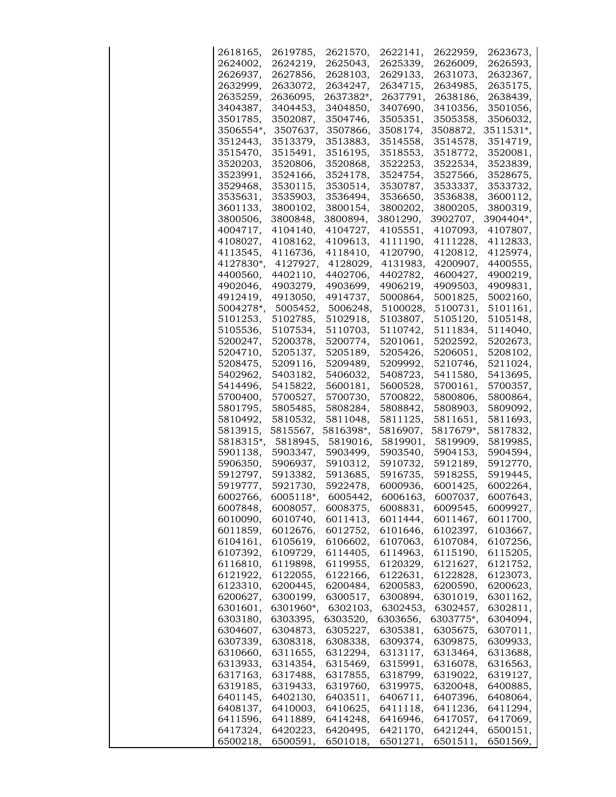| 2618165,  | 2619785,  | 2621570,  | 2622141, | 2622959,  | 2623673,  |
|-----------|-----------|-----------|----------|-----------|-----------|
| 2624002,  | 2624219,  | 2625043,  | 2625339, | 2626009,  | 2626593,  |
| 2626937.  | 2627856,  | 2628103,  | 2629133. | 2631073,  | 2632367,  |
| 2632999,  | 2633072,  | 2634247,  | 2634715, | 2634985,  | 2635175,  |
| 2635259,  | 2636095,  | 2637382*, | 2637791, | 2638186,  | 2638439,  |
| 3404387,  | 3404453,  | 3404850,  | 3407690, | 3410356,  | 3501056,  |
| 3501785,  | 3502087,  | 3504746,  | 3505351, | 3505358,  | 3506032,  |
| 3506554*, | 3507637,  | 3507866,  | 3508174, | 3508872,  | 3511531*, |
| 3512443,  | 3513379,  | 3513883,  | 3514558, | 3514578,  | 3514719,  |
| 3515470,  | 3515491,  | 3516195,  | 3518553, | 3518772,  | 3520081,  |
| 3520203,  | 3520806,  | 3520868,  | 3522253, | 3522534,  | 3523839,  |
| 3523991,  | 3524166,  | 3524178,  | 3524754, | 3527566,  | 3528675.  |
| 3529468,  | 3530115,  | 3530514,  | 3530787, | 3533337,  | 3533732,  |
| 3535631,  | 3535903,  | 3536494,  | 3536650, | 3536838,  | 3600112,  |
| 3601133,  | 3800102,  | 3800154,  | 3800202, | 3800205,  | 3800319,  |
| 3800506,  | 3800848,  | 3800894,  | 3801290, | 3902707,  | 3904404*, |
| 4004717,  | 4104140,  | 4104727,  | 4105551, | 4107093,  | 4107807,  |
| 4108027,  | 4108162,  | 4109613,  | 4111190, | 4111228,  | 4112833,  |
| 4113545,  | 4116736,  | 4118410,  | 4120790, | 4120812,  | 4125974,  |
| 4127830*, | 4127927,  | 4128029,  | 4131983, | 4200907,  | 4400555,  |
| 4400560,  | 4402110,  | 4402706,  | 4402782, | 4600427.  | 4900219,  |
| 4902046,  | 4903279,  | 4903699,  | 4906219, | 4909503,  | 4909831,  |
| 4912419,  | 4913050,  | 4914737,  | 5000864, | 5001825,  | 5002160,  |
| 5004278*, | 5005452,  | 5006248,  | 5100028, | 5100731,  | 5101161,  |
| 5101253,  | 5102785,  | 5102918,  | 5103807. | 5105120,  | 5105148,  |
| 5105536,  | 5107534,  | 5110703,  | 5110742, | 5111834,  | 5114040,  |
| 5200247,  | 5200378,  | 5200774,  | 5201061, | 5202592,  | 5202673,  |
| 5204710,  | 5205137,  | 5205189,  | 5205426, | 5206051,  | 5208102,  |
| 5208475,  | 5209116,  | 5209489,  | 5209992, | 5210746,  | 5211024,  |
| 5402962,  | 5403182,  | 5406032,  | 5408723, | 5411580,  | 5413695,  |
| 5414496,  | 5415822,  | 5600181,  | 5600528, | 5700161,  | 5700357,  |
| 5700400,  | 5700527,  | 5700730,  | 5700822, | 5800806,  | 5800864,  |
| 5801795,  | 5805485,  | 5808284,  | 5808842, | 5808903,  | 5809092,  |
| 5810492,  | 5810532,  | 5811048,  | 5811125, | 5811651,  | 5811693,  |
| 5813915,  | 5815567,  | 5816398*, | 5816907, | 5817679*, | 5817832,  |
| 5818315*, | 5818945,  | 5819016,  | 5819901, | 5819909,  | 5819985.  |
| 5901138,  | 5903347,  | 5903499,  | 5903540, | 5904153,  | 5904594,  |
| 5906350,  | 5906937.  | 5910312,  | 5910732, | 5912189,  | 5912770,  |
| 5912797,  | 5913382,  | 5913685,  | 5916735, | 5918255,  | 5919445.  |
| 5919777,  | 5921730,  | 5922478,  | 6000936, | 6001425,  | 6002264,  |
| 6002766,  | 6005118*  | 6005442,  | 6006163, | 6007037,  | 6007643,  |
| 6007848,  | 6008057,  | 6008375,  | 6008831, | 6009545,  | 6009927,  |
| 6010090,  | 6010740,  | 6011413,  | 6011444, | 6011467,  | 6011700,  |
| 6011859,  | 6012676,  | 6012752,  | 6101646, | 6102397,  | 6103667,  |
| 6104161,  | 6105619,  | 6106602,  | 6107063, | 6107084,  | 6107256,  |
| 6107392,  | 6109729,  | 6114405,  | 6114963, | 6115190,  | 6115205,  |
| 6116810,  | 6119898,  | 6119955,  | 6120329, | 6121627,  | 6121752,  |
| 6121922,  | 6122055,  | 6122166,  | 6122631, | 6122828,  | 6123073,  |
| 6123310,  | 6200445,  | 6200484,  | 6200583, | 6200590,  | 6200623,  |
| 6200627,  | 6300199,  | 6300517,  | 6300894, | 6301019,  | 6301162,  |
| 6301601,  | 6301960*, | 6302103,  | 6302453, | 6302457,  | 6302811,  |
| 6303180,  | 6303395,  | 6303520,  | 6303656, | 6303775*, | 6304094,  |
| 6304607,  | 6304873,  | 6305227,  | 6305381, | 6305675,  | 6307011,  |
| 6307339,  | 6308318,  | 6308338,  | 6309374, | 6309875,  | 6309933,  |
| 6310660,  | 6311655,  | 6312294,  | 6313117, | 6313464,  | 6313688,  |
| 6313933,  | 6314354,  | 6315469,  | 6315991, | 6316078,  | 6316563,  |
| 6317163,  | 6317488,  | 6317855,  | 6318799, | 6319022,  | 6319127,  |
| 6319185,  | 6319433,  | 6319760,  | 6319975, | 6320048,  | 6400885,  |
| 6401145,  | 6402130,  | 6403511,  | 6406711, | 6407396,  | 6408064,  |
| 6408137,  | 6410003,  | 6410625,  | 6411118, | 6411236,  | 6411294,  |
| 6411596,  | 6411889,  | 6414248,  | 6416946, | 6417057,  | 6417069,  |
| 6417324,  | 6420223,  | 6420495,  | 6421170, | 6421244,  | 6500151,  |
| 6500218,  | 6500591,  | 6501018,  | 6501271, | 6501511,  | 6501569,  |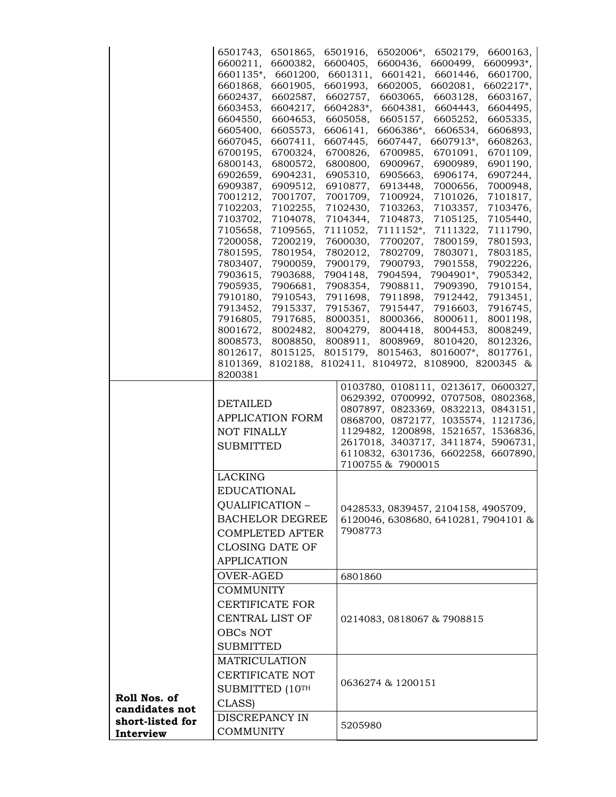|                  | 6501743,<br>6501865,                                     | 6501916,<br>6600163,<br>6502006*,<br>6502179,                                                                                                                                                                                                                                 |  |  |  |
|------------------|----------------------------------------------------------|-------------------------------------------------------------------------------------------------------------------------------------------------------------------------------------------------------------------------------------------------------------------------------|--|--|--|
|                  | 6600211,<br>6600382,                                     | 6600405,<br>6600993*,<br>6600436,<br>6600499,                                                                                                                                                                                                                                 |  |  |  |
|                  | 6601135*,<br>6601200,                                    | 6601311,<br>6601421,<br>6601446,<br>6601700,                                                                                                                                                                                                                                  |  |  |  |
|                  | 6601868,<br>6601905,                                     | 6601993,<br>6602217*,<br>6602005,<br>6602081,                                                                                                                                                                                                                                 |  |  |  |
|                  | 6602437,<br>6602587,                                     | 6602757,<br>6603065,<br>6603128,<br>6603167,                                                                                                                                                                                                                                  |  |  |  |
|                  | 6603453,<br>6604217,                                     | 6604283*,<br>6604381,<br>6604443,<br>6604495,                                                                                                                                                                                                                                 |  |  |  |
|                  | 6604550,<br>6604653,<br>6605400,<br>6605573,             | 6605058,<br>6605157,<br>6605252,<br>6605335,<br>6606386*,<br>6606141,<br>6606534,<br>6606893,                                                                                                                                                                                 |  |  |  |
|                  | 6607411,<br>6607045,                                     | 6607445,<br>6607447,<br>6607913*,<br>6608263,                                                                                                                                                                                                                                 |  |  |  |
|                  | 6700195,<br>6700324,                                     | 6700826,<br>6700985,<br>6701091,<br>6701109,                                                                                                                                                                                                                                  |  |  |  |
|                  | 6800143,<br>6800572,                                     | 6800800,<br>6900967,<br>6900989,<br>6901190,                                                                                                                                                                                                                                  |  |  |  |
|                  | 6902659,<br>6904231,                                     | 6905310,<br>6905663,<br>6906174,<br>6907244,                                                                                                                                                                                                                                  |  |  |  |
|                  | 6909387,<br>6909512,                                     | 6910877,<br>6913448,<br>7000656,<br>7000948,                                                                                                                                                                                                                                  |  |  |  |
|                  | 7001707,<br>7001212,                                     | 7001709,<br>7100924,<br>7101026,<br>7101817,                                                                                                                                                                                                                                  |  |  |  |
|                  | 7102203,<br>7102255,                                     | 7102430,<br>7103263,<br>7103357,<br>7103476,                                                                                                                                                                                                                                  |  |  |  |
|                  | 7103702,<br>7104078,<br>7105658,<br>7109565,             | 7105125,<br>7104344,<br>7104873,<br>7105440,<br>7111052,<br>7111152*,<br>7111322,<br>7111790,                                                                                                                                                                                 |  |  |  |
|                  | 7200058,<br>7200219,                                     | 7600030,<br>7700207,<br>7800159,<br>7801593,                                                                                                                                                                                                                                  |  |  |  |
|                  | 7801595,<br>7801954,                                     | 7802012,<br>7802709,<br>7803071,<br>7803185,                                                                                                                                                                                                                                  |  |  |  |
|                  | 7803407,<br>7900059,                                     | 7900179,<br>7900793,<br>7901558,<br>7902226,                                                                                                                                                                                                                                  |  |  |  |
|                  | 7903615,<br>7903688,                                     | 7904148,<br>7904594,<br>7904901*,<br>7905342,                                                                                                                                                                                                                                 |  |  |  |
|                  | 7905935,<br>7906681,                                     | 7910154,<br>7908354,<br>7908811,<br>7909390,                                                                                                                                                                                                                                  |  |  |  |
|                  | 7910180,<br>7910543,                                     | 7911698,<br>7911898,<br>7912442,<br>7913451,                                                                                                                                                                                                                                  |  |  |  |
|                  | 7913452,<br>7915337,                                     | 7915367,<br>7915447,<br>7916603,<br>7916745,                                                                                                                                                                                                                                  |  |  |  |
|                  | 7916805,<br>7917685,<br>8001672,                         | 8000351,<br>8000366,<br>8000611,<br>8001198,<br>8004279,<br>8004418,<br>8004453,                                                                                                                                                                                              |  |  |  |
|                  | 8002482,<br>8008573,<br>8008850,                         | 8008249,<br>8008911,<br>8008969,<br>8010420,<br>8012326,                                                                                                                                                                                                                      |  |  |  |
|                  | 8012617,<br>8015125,                                     | 8015179,<br>8015463,<br>8016007*,<br>8017761,                                                                                                                                                                                                                                 |  |  |  |
|                  | 8101369,                                                 | 8102188, 8102411, 8104972, 8108900, 8200345 &                                                                                                                                                                                                                                 |  |  |  |
|                  | 8200381                                                  |                                                                                                                                                                                                                                                                               |  |  |  |
|                  | DETAILED<br>APPLICATION FORM<br>NOT FINALLY<br>SUBMITTED | 0103780, 0108111, 0213617, 0600327,<br>0629392, 0700992, 0707508, 0802368,<br>0807897, 0823369, 0832213, 0843151,<br>0868700, 0872177, 1035574, 1121736,<br>1129482, 1200898, 1521657, 1536836,<br>2617018, 3403717, 3411874, 5906731,<br>6110832, 6301736, 6602258, 6607890, |  |  |  |
|                  |                                                          | 7100755 & 7900015                                                                                                                                                                                                                                                             |  |  |  |
|                  | LACKING                                                  |                                                                                                                                                                                                                                                                               |  |  |  |
|                  | <b>EDUCATIONAL</b>                                       |                                                                                                                                                                                                                                                                               |  |  |  |
|                  | QUALIFICATION -                                          | 0428533, 0839457, 2104158, 4905709,                                                                                                                                                                                                                                           |  |  |  |
|                  | <b>BACHELOR DEGREE</b>                                   | 6120046, 6308680, 6410281, 7904101 &                                                                                                                                                                                                                                          |  |  |  |
|                  | <b>COMPLETED AFTER</b>                                   | 7908773                                                                                                                                                                                                                                                                       |  |  |  |
|                  | CLOSING DATE OF                                          |                                                                                                                                                                                                                                                                               |  |  |  |
|                  | <b>APPLICATION</b>                                       |                                                                                                                                                                                                                                                                               |  |  |  |
|                  | OVER-AGED                                                | 6801860                                                                                                                                                                                                                                                                       |  |  |  |
|                  | <b>COMMUNITY</b>                                         |                                                                                                                                                                                                                                                                               |  |  |  |
|                  | <b>CERTIFICATE FOR</b>                                   |                                                                                                                                                                                                                                                                               |  |  |  |
|                  | CENTRAL LIST OF                                          | 0214083, 0818067 & 7908815                                                                                                                                                                                                                                                    |  |  |  |
|                  | OBCs NOT                                                 |                                                                                                                                                                                                                                                                               |  |  |  |
|                  | <b>SUBMITTED</b>                                         |                                                                                                                                                                                                                                                                               |  |  |  |
|                  |                                                          |                                                                                                                                                                                                                                                                               |  |  |  |
|                  | <b>MATRICULATION</b>                                     |                                                                                                                                                                                                                                                                               |  |  |  |
|                  | CERTIFICATE NOT                                          | 0636274 & 1200151                                                                                                                                                                                                                                                             |  |  |  |
| Roll Nos. of     | SUBMITTED (10TH                                          |                                                                                                                                                                                                                                                                               |  |  |  |
| candidates not   |                                                          |                                                                                                                                                                                                                                                                               |  |  |  |
|                  | CLASS)                                                   |                                                                                                                                                                                                                                                                               |  |  |  |
| short-listed for | DISCREPANCY IN                                           | 5205980                                                                                                                                                                                                                                                                       |  |  |  |